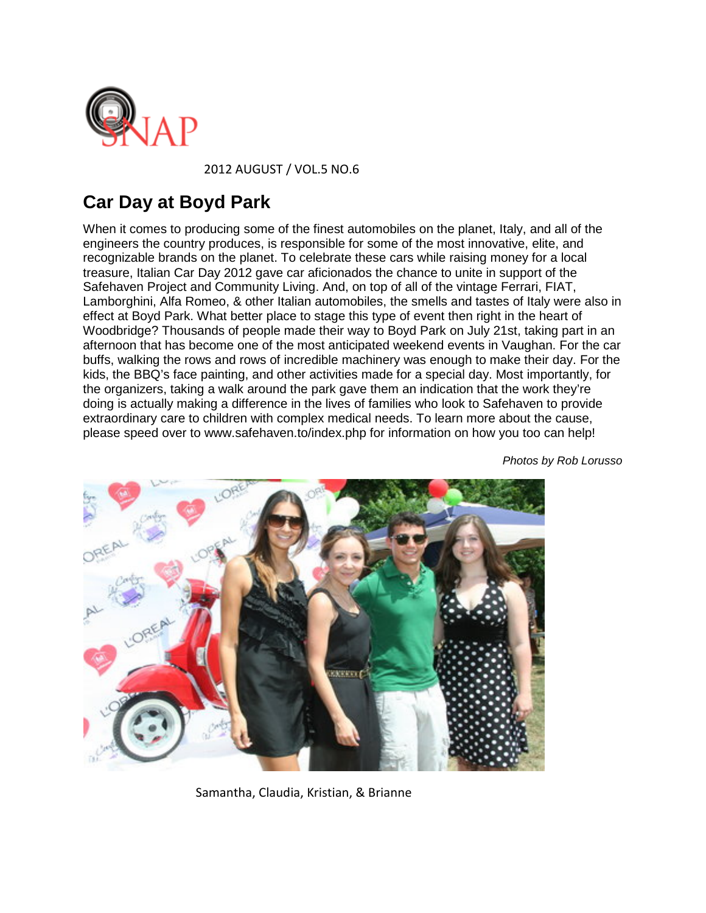

[2](http://www.snapwoodbridge.com/)012 AUGUST / VOL.5 NO.6

## **Car Day at Boyd Park**

When it comes to producing some of the finest automobiles on the planet, Italy, and all of the engineers the country produces, is responsible for some of the most innovative, elite, and recognizable brands on the planet. To celebrate these cars while raising money for a local treasure, Italian Car Day 2012 gave car aficionados the chance to unite in support of the Safehaven Project and Community Living. And, on top of all of the vintage Ferrari, FIAT, Lamborghini, Alfa Romeo, & other Italian automobiles, the smells and tastes of Italy were also in effect at Boyd Park. What better place to stage this type of event then right in the heart of Woodbridge? Thousands of people made their way to Boyd Park on July 21st, taking part in an afternoon that has become one of the most anticipated weekend events in Vaughan. For the car buffs, walking the rows and rows of incredible machinery was enough to make their day. For the kids, the BBQ's face painting, and other activities made for a special day. Most importantly, for the organizers, taking a walk around the park gave them an indication that the work they're doing is actually making a difference in the lives of families who look to Safehaven to provide extraordinary care to children with complex medical needs. To learn more about the cause, please speed over to www.safehaven.to/index.php for information on how you too can help!



*Photos by Rob Lorusso*

Samantha, Claudia, Kristian, & Brianne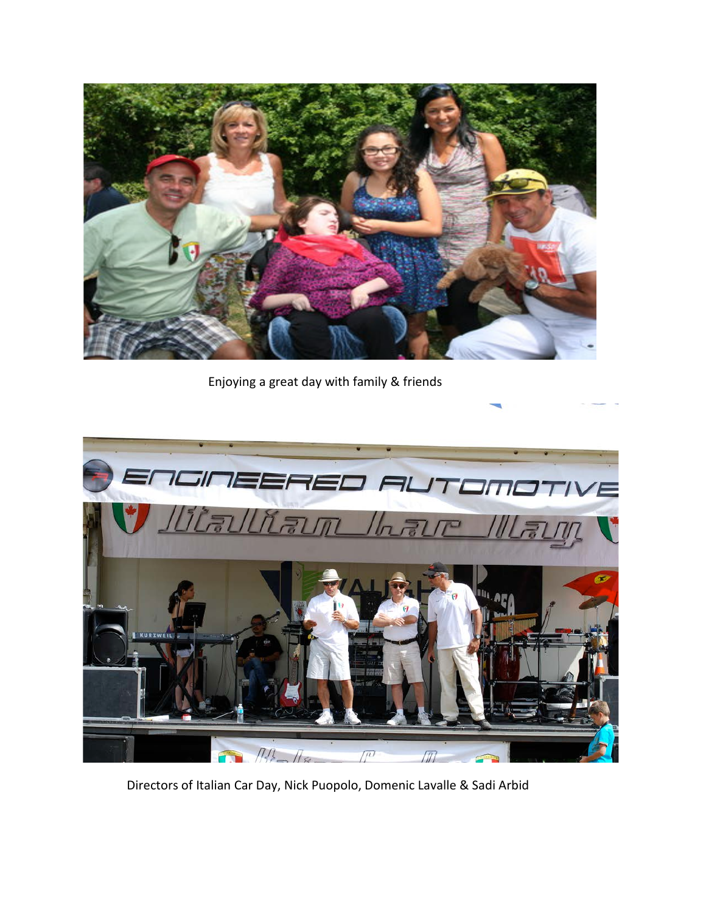

Enjoying a great day with family & friends



Directors of Italian Car Day, Nick Puopolo, Domenic Lavalle & Sadi Arbid